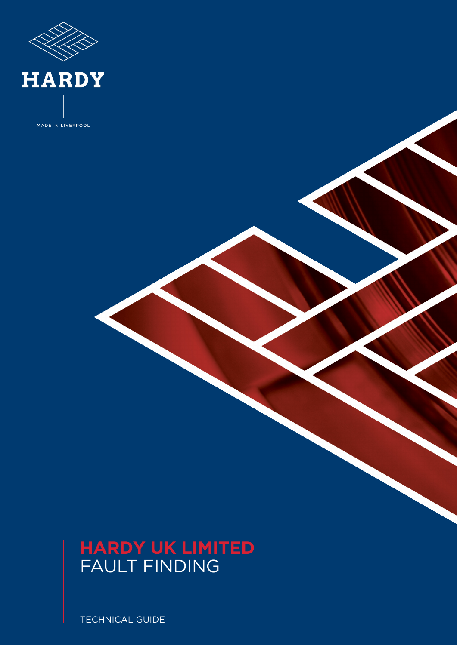

MADE IN LIVERPOOL

## **HARDY UK LIMITED** FAULT FINDING

TECHNICAL GUIDE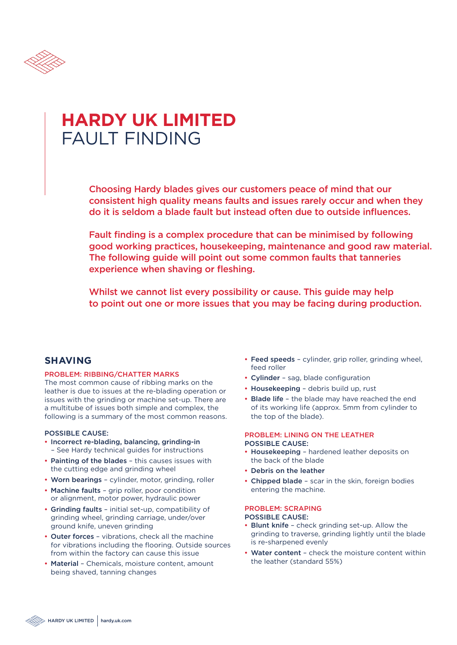

## **HARDY UK LIMITED** FAULT FINDING

Choosing Hardy blades gives our customers peace of mind that our consistent high quality means faults and issues rarely occur and when they do it is seldom a blade fault but instead often due to outside influences.

Fault finding is a complex procedure that can be minimised by following good working practices, housekeeping, maintenance and good raw material. The following guide will point out some common faults that tanneries experience when shaving or fleshing.

Whilst we cannot list every possibility or cause. This guide may help to point out one or more issues that you may be facing during production.

#### PROBLEM: RIBBING/CHATTER MARKS

The most common cause of ribbing marks on the leather is due to issues at the re-blading operation or issues with the grinding or machine set-up. There are a multitube of issues both simple and complex, the following is a summary of the most common reasons.

### POSSIBLE CAUSE:

- Incorrect re-blading, balancing, grinding-in – See Hardy technical guides for instructions
- Painting of the blades this causes issues with the cutting edge and grinding wheel
- Worn bearings cylinder, motor, grinding, roller
- Machine faults grip roller, poor condition or alignment, motor power, hydraulic power
- Grinding faults initial set-up, compatibility of grinding wheel, grinding carriage, under/over ground knife, uneven grinding
- Outer forces vibrations, check all the machine for vibrations including the flooring. Outside sources from within the factory can cause this issue
- Material Chemicals, moisture content, amount being shaved, tanning changes
- **SHAVING** Feed speeds cylinder, grip roller, grinding wheel, feed roller
	- Cylinder sag, blade configuration
	- Housekeeping debris build up, rust
	- Blade life the blade may have reached the end of its working life (approx. 5mm from cylinder to the top of the blade).

#### PROBLEM: LINING ON THE LEATHER POSSIBLE CAUSE:

- Housekeeping hardened leather deposits on the back of the blade
- Debris on the leather
- Chipped blade scar in the skin, foreign bodies entering the machine.

#### PROBLEM: SCRAPING POSSIBLE CAUSE:

- Blunt knife check grinding set-up. Allow the grinding to traverse, grinding lightly until the blade is re-sharpened evenly
- Water content check the moisture content within the leather (standard 55%)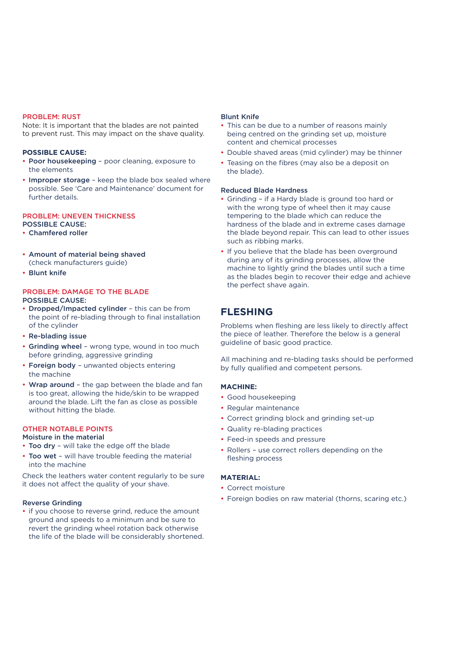#### PROBLEM: RUST

Note: It is important that the blades are not painted to prevent rust. This may impact on the shave quality.

#### **POSSIBLE CAUSE:**

- Poor housekeeping poor cleaning, exposure to the elements
- Improper storage keep the blade box sealed where possible. See 'Care and Maintenance' document for further details.

#### PROBLEM: UNEVEN THICKNESS POSSIBLE CAUSE:

#### • Chamfered roller

- Amount of material being shaved (check manufacturers guide)
- Blunt knife

#### PROBLEM: DAMAGE TO THE BLADE POSSIBLE CAUSE:

- Dropped/Impacted cylinder this can be from the point of re-blading through to final installation of the cylinder
- Re-blading issue
- Grinding wheel wrong type, wound in too much before grinding, aggressive grinding
- Foreign body unwanted objects entering the machine
- Wrap around the gap between the blade and fan is too great, allowing the hide/skin to be wrapped around the blade. Lift the fan as close as possible without hitting the blade.

#### OTHER NOTABLE POINTS

#### Moisture in the material

- Too dry will take the edge off the blade
- Too wet will have trouble feeding the material into the machine

Check the leathers water content regularly to be sure it does not affect the quality of your shave.

#### Reverse Grinding

• if you choose to reverse grind, reduce the amount ground and speeds to a minimum and be sure to revert the grinding wheel rotation back otherwise the life of the blade will be considerably shortened.

#### Blunt Knife

- This can be due to a number of reasons mainly being centred on the grinding set up, moisture content and chemical processes
- Double shaved areas (mid cylinder) may be thinner
- Teasing on the fibres (may also be a deposit on the blade).

#### Reduced Blade Hardness

- Grinding if a Hardy blade is ground too hard or with the wrong type of wheel then it may cause tempering to the blade which can reduce the hardness of the blade and in extreme cases damage the blade beyond repair. This can lead to other issues such as ribbing marks.
- If you believe that the blade has been overground during any of its grinding processes, allow the machine to lightly grind the blades until such a time as the blades begin to recover their edge and achieve the perfect shave again.

### **FLESHING**

Problems when fleshing are less likely to directly affect the piece of leather. Therefore the below is a general guideline of basic good practice.

All machining and re-blading tasks should be performed by fully qualified and competent persons.

#### **MACHINE:**

- Good housekeeping
- Regular maintenance
- Correct grinding block and grinding set-up
- Quality re-blading practices
- Feed-in speeds and pressure
- Rollers use correct rollers depending on the fleshing process

#### **MATERIAL:**

- Correct moisture
- Foreign bodies on raw material (thorns, scaring etc.)